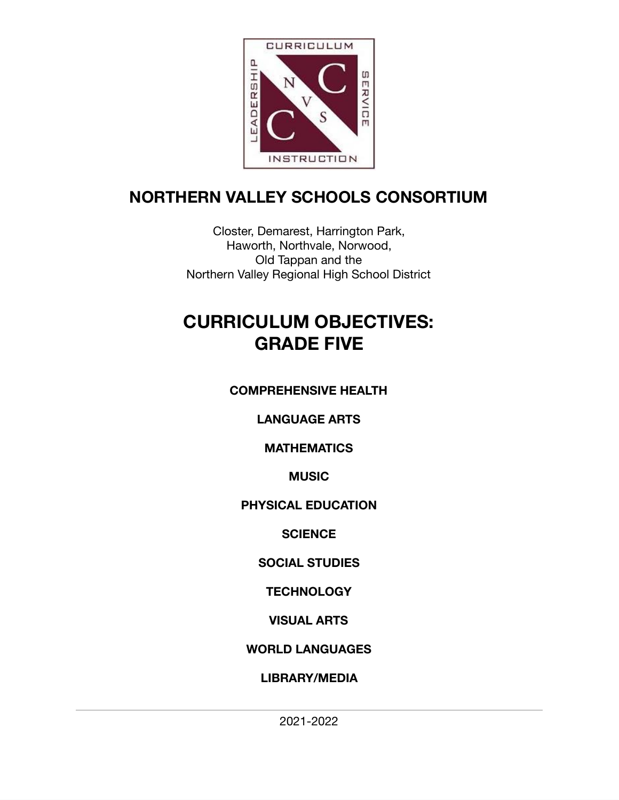

# **NORTHERN VALLEY SCHOOLS CONSORTIUM**

Closter, Demarest, Harrington Park, Haworth, Northvale, Norwood, Old Tappan and the Northern Valley Regional High School District

# **CURRICULUM OBJECTIVES: GRADE FIVE**

# **COMPREHENSIVE HEALTH**

# **LANGUAGE ARTS**

# **MATHEMATICS**

# **MUSIC**

# **PHYSICAL EDUCATION**

# **SCIENCE**

# **SOCIAL STUDIES**

# **TECHNOLOGY**

# **VISUAL ARTS**

# **WORLD LANGUAGES**

# **LIBRARY/MEDIA**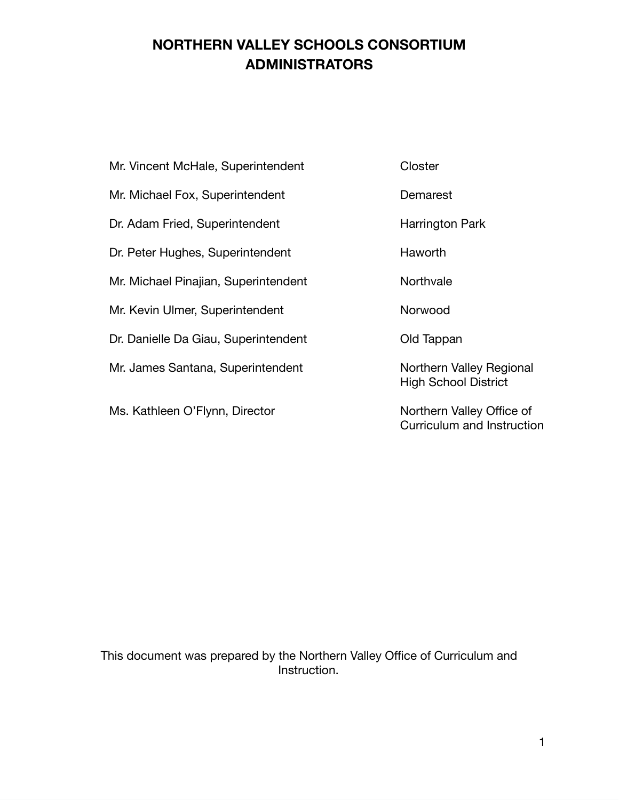# **NORTHERN VALLEY SCHOOLS CONSORTIUM ADMINISTRATORS**

|  |  |  | Mr. Vincent McHale, Superintendent |
|--|--|--|------------------------------------|
|--|--|--|------------------------------------|

Mr. Michael Fox, Superintendent Demarest

Dr. Adam Fried, Superintendent Harrington Park

Dr. Peter Hughes, Superintendent Haworth

Mr. Michael Pinajian, Superintendent Northvale

Mr. Kevin Ulmer, Superintendent Norwood

Dr. Danielle Da Giau, Superintendent Cold Tappan

Mr. James Santana, Superintendent Northern Valley Regional

Ms. Kathleen O'Flynn, Director Northern Valley Office of

Closter

High School District

Curriculum and Instruction

This document was prepared by the Northern Valley Office of Curriculum and Instruction.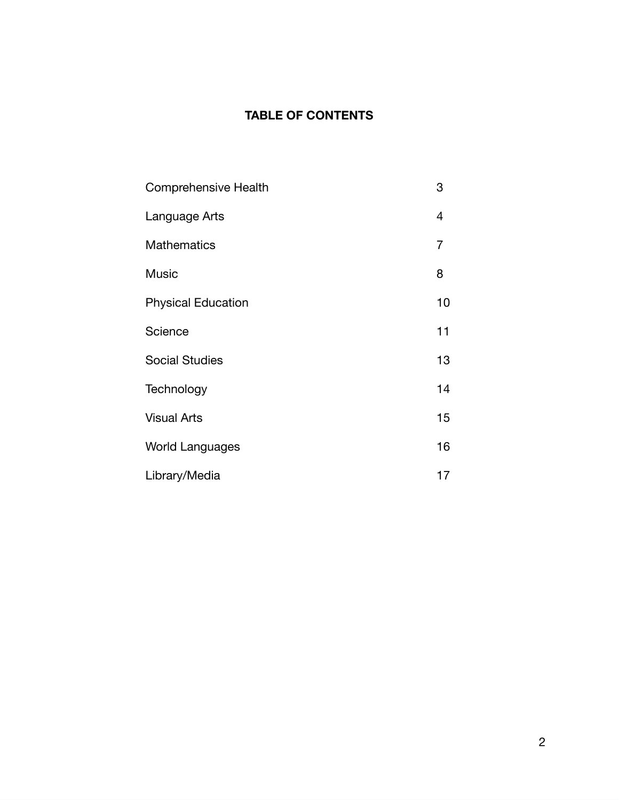# **TABLE OF CONTENTS**

| Comprehensive Health      | 3              |
|---------------------------|----------------|
| Language Arts             | 4              |
| <b>Mathematics</b>        | $\overline{7}$ |
| <b>Music</b>              | 8              |
| <b>Physical Education</b> | 10             |
| Science                   | 11             |
| <b>Social Studies</b>     | 13             |
| Technology                | 14             |
| <b>Visual Arts</b>        | 15             |
| <b>World Languages</b>    | 16             |
| Library/Media             | 17             |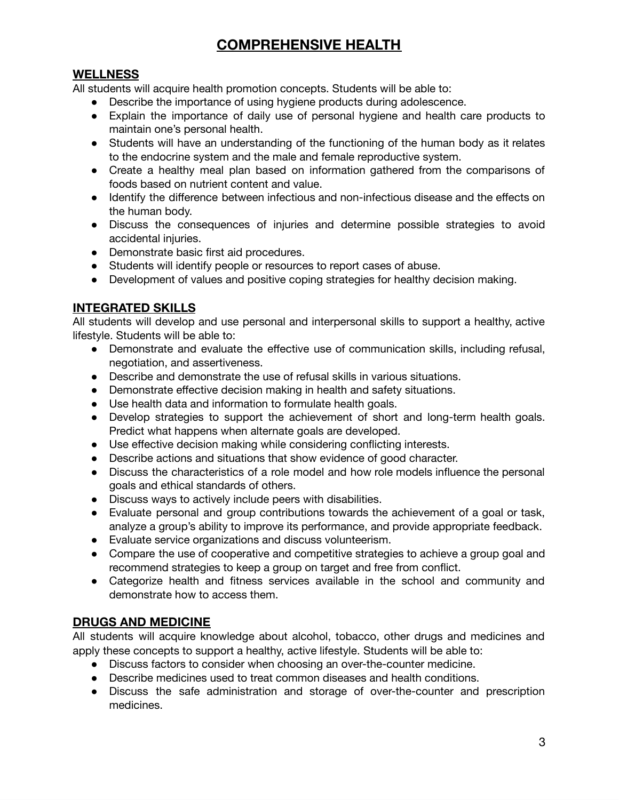# **COMPREHENSIVE HEALTH**

# **WELLNESS**

All students will acquire health promotion concepts. Students will be able to:

- Describe the importance of using hygiene products during adolescence.
- Explain the importance of daily use of personal hygiene and health care products to maintain one's personal health.
- Students will have an understanding of the functioning of the human body as it relates to the endocrine system and the male and female reproductive system.
- Create a healthy meal plan based on information gathered from the comparisons of foods based on nutrient content and value.
- Identify the difference between infectious and non-infectious disease and the effects on the human body.
- Discuss the consequences of injuries and determine possible strategies to avoid accidental injuries.
- Demonstrate basic first aid procedures.
- Students will identify people or resources to report cases of abuse.
- Development of values and positive coping strategies for healthy decision making.

# **INTEGRATED SKILLS**

All students will develop and use personal and interpersonal skills to support a healthy, active lifestyle. Students will be able to:

- Demonstrate and evaluate the effective use of communication skills, including refusal, negotiation, and assertiveness.
- Describe and demonstrate the use of refusal skills in various situations.
- Demonstrate effective decision making in health and safety situations.
- Use health data and information to formulate health goals.
- Develop strategies to support the achievement of short and long-term health goals. Predict what happens when alternate goals are developed.
- Use effective decision making while considering conflicting interests.
- Describe actions and situations that show evidence of good character.
- Discuss the characteristics of a role model and how role models influence the personal goals and ethical standards of others.
- Discuss ways to actively include peers with disabilities.
- Evaluate personal and group contributions towards the achievement of a goal or task, analyze a group's ability to improve its performance, and provide appropriate feedback.
- Evaluate service organizations and discuss volunteerism.
- Compare the use of cooperative and competitive strategies to achieve a group goal and recommend strategies to keep a group on target and free from conflict.
- Categorize health and fitness services available in the school and community and demonstrate how to access them.

# **DRUGS AND MEDICINE**

All students will acquire knowledge about alcohol, tobacco, other drugs and medicines and apply these concepts to support a healthy, active lifestyle. Students will be able to:

- Discuss factors to consider when choosing an over-the-counter medicine.
- Describe medicines used to treat common diseases and health conditions.
- Discuss the safe administration and storage of over-the-counter and prescription medicines.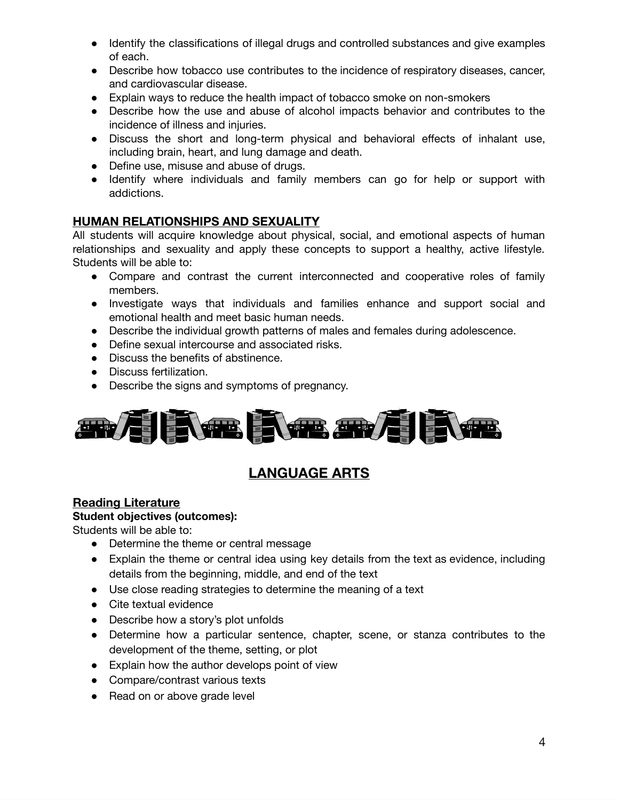- Identify the classifications of illegal drugs and controlled substances and give examples of each.
- Describe how tobacco use contributes to the incidence of respiratory diseases, cancer, and cardiovascular disease.
- Explain ways to reduce the health impact of tobacco smoke on non-smokers
- Describe how the use and abuse of alcohol impacts behavior and contributes to the incidence of illness and injuries.
- Discuss the short and long-term physical and behavioral effects of inhalant use, including brain, heart, and lung damage and death.
- Define use, misuse and abuse of drugs.
- Identify where individuals and family members can go for help or support with addictions.

## **HUMAN RELATIONSHIPS AND SEXUALITY**

All students will acquire knowledge about physical, social, and emotional aspects of human relationships and sexuality and apply these concepts to support a healthy, active lifestyle. Students will be able to:

- Compare and contrast the current interconnected and cooperative roles of family members.
- Investigate ways that individuals and families enhance and support social and emotional health and meet basic human needs.
- Describe the individual growth patterns of males and females during adolescence.
- Define sexual intercourse and associated risks.
- Discuss the benefits of abstinence.
- Discuss fertilization.
- Describe the signs and symptoms of pregnancy.



# **LANGUAGE ARTS**

## **Reading Literature**

#### **Student objectives (outcomes):**

Students will be able to:

- Determine the theme or central message
- Explain the theme or central idea using key details from the text as evidence, including details from the beginning, middle, and end of the text
- Use close reading strategies to determine the meaning of a text
- Cite textual evidence
- Describe how a story's plot unfolds
- Determine how a particular sentence, chapter, scene, or stanza contributes to the development of the theme, setting, or plot
- Explain how the author develops point of view
- Compare/contrast various texts
- Read on or above grade level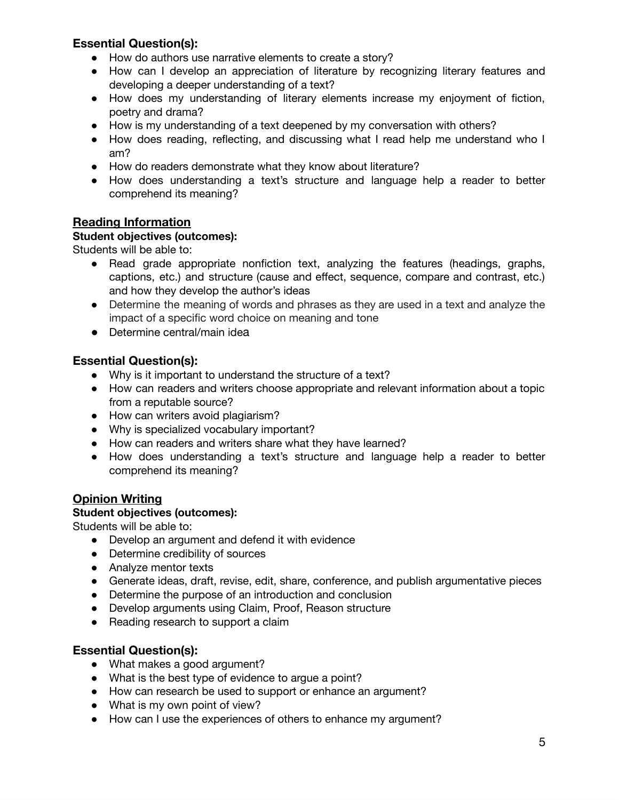## **Essential Question(s):**

- How do authors use narrative elements to create a story?
- How can I develop an appreciation of literature by recognizing literary features and developing a deeper understanding of a text?
- How does my understanding of literary elements increase my enjoyment of fiction, poetry and drama?
- How is my understanding of a text deepened by my conversation with others?
- How does reading, reflecting, and discussing what I read help me understand who I am?
- How do readers demonstrate what they know about literature?
- How does understanding a text's structure and language help a reader to better comprehend its meaning?

## **Reading Information**

### **Student objectives (outcomes):**

Students will be able to:

- Read grade appropriate nonfiction text, analyzing the features (headings, graphs, captions, etc.) and structure (cause and effect, sequence, compare and contrast, etc.) and how they develop the author's ideas
- Determine the meaning of words and phrases as they are used in a text and analyze the impact of a specific word choice on meaning and tone
- Determine central/main idea

# **Essential Question(s):**

- Why is it important to understand the structure of a text?
- How can readers and writers choose appropriate and relevant information about a topic from a reputable source?
- How can writers avoid plagiarism?
- Why is specialized vocabulary important?
- How can readers and writers share what they have learned?
- How does understanding a text's structure and language help a reader to better comprehend its meaning?

# **Opinion Writing**

## **Student objectives (outcomes):**

Students will be able to:

- Develop an argument and defend it with evidence
- Determine credibility of sources
- Analyze mentor texts
- Generate ideas, draft, revise, edit, share, conference, and publish argumentative pieces
- Determine the purpose of an introduction and conclusion
- Develop arguments using Claim, Proof, Reason structure
- Reading research to support a claim

## **Essential Question(s):**

- What makes a good argument?
- What is the best type of evidence to argue a point?
- How can research be used to support or enhance an argument?
- What is my own point of view?
- How can I use the experiences of others to enhance my argument?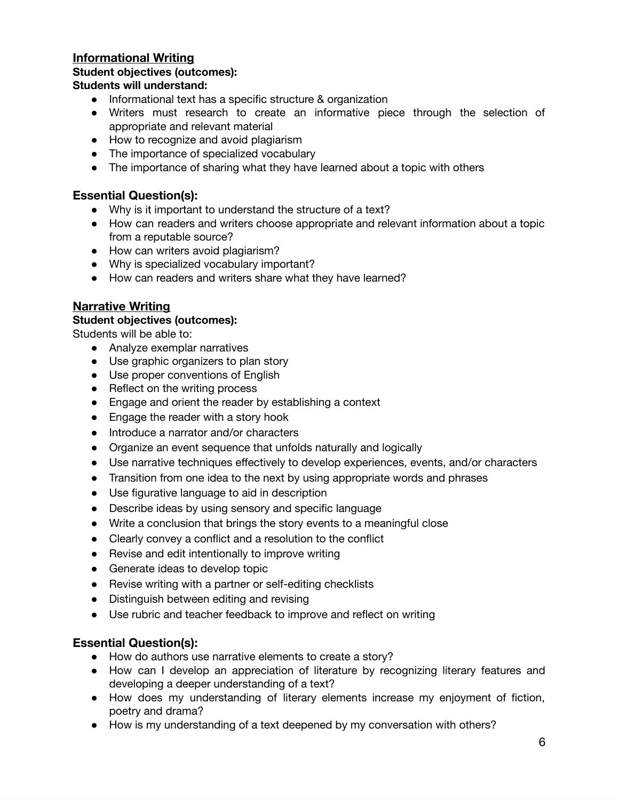#### **Informational Writing**

#### **Student objectives (outcomes):**

#### **Students will understand:**

- Informational text has a specific structure & organization
- Writers must research to create an informative piece through the selection of appropriate and relevant material
- How to recognize and avoid plagiarism
- The importance of specialized vocabulary
- The importance of sharing what they have learned about a topic with others

## **Essential Question(s):**

- Why is it important to understand the structure of a text?
- How can readers and writers choose appropriate and relevant information about a topic from a reputable source?
- How can writers avoid plagiarism?
- Why is specialized vocabulary important?
- How can readers and writers share what they have learned?

### **Narrative Writing**

#### **Student objectives (outcomes):**

Students will be able to:

- Analyze exemplar narratives
- Use graphic organizers to plan story
- Use proper conventions of English
- **●** Reflect on the writing process
- Engage and orient the reader by establishing a context
- Engage the reader with a story hook
- Introduce a narrator and/or characters
- Organize an event sequence that unfolds naturally and logically
- Use narrative techniques effectively to develop experiences, events, and/or characters
- Transition from one idea to the next by using appropriate words and phrases
- Use figurative language to aid in description
- Describe ideas by using sensory and specific language
- Write a conclusion that brings the story events to a meaningful close
- Clearly convey a conflict and a resolution to the conflict
- Revise and edit intentionally to improve writing
- Generate ideas to develop topic
- Revise writing with a partner or self-editing checklists
- Distinguish between editing and revising
- Use rubric and teacher feedback to improve and reflect on writing

## **Essential Question(s):**

- How do authors use narrative elements to create a story?
- How can I develop an appreciation of literature by recognizing literary features and developing a deeper understanding of a text?
- How does my understanding of literary elements increase my enjoyment of fiction, poetry and drama?
- How is my understanding of a text deepened by my conversation with others?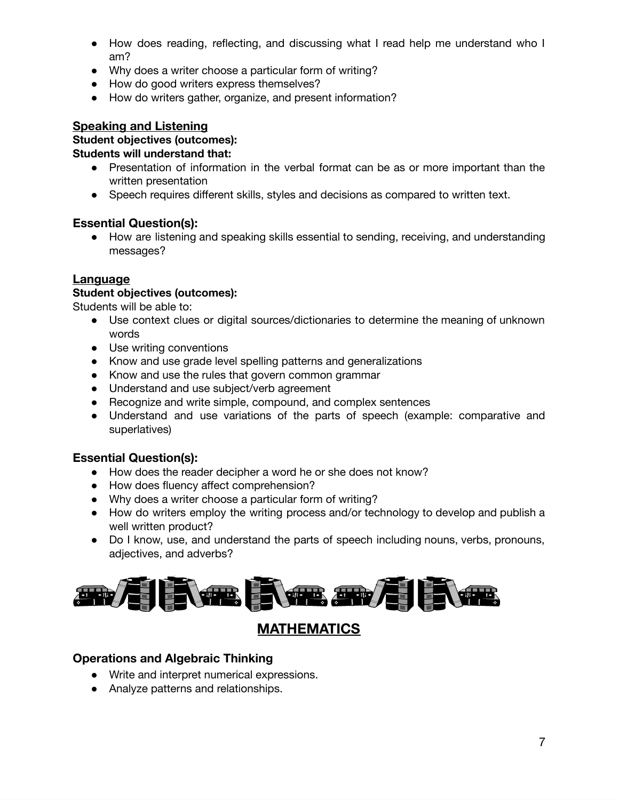- How does reading, reflecting, and discussing what I read help me understand who I am?
- Why does a writer choose a particular form of writing?
- How do good writers express themselves?
- How do writers gather, organize, and present information?

#### **Speaking and Listening**

#### **Student objectives (outcomes):**

#### **Students will understand that:**

- Presentation of information in the verbal format can be as or more important than the written presentation
- Speech requires different skills, styles and decisions as compared to written text.

#### **Essential Question(s):**

● How are listening and speaking skills essential to sending, receiving, and understanding messages?

#### **Language**

#### **Student objectives (outcomes):**

Students will be able to:

- Use context clues or digital sources/dictionaries to determine the meaning of unknown words
- Use writing conventions
- Know and use grade level spelling patterns and generalizations
- Know and use the rules that govern common grammar
- Understand and use subject/verb agreement
- Recognize and write simple, compound, and complex sentences
- Understand and use variations of the parts of speech (example: comparative and superlatives)

## **Essential Question(s):**

- How does the reader decipher a word he or she does not know?
- How does fluency affect comprehension?
- Why does a writer choose a particular form of writing?
- How do writers employ the writing process and/or technology to develop and publish a well written product?
- Do I know, use, and understand the parts of speech including nouns, verbs, pronouns, adjectives, and adverbs?



# **MATHEMATICS**

#### **Operations and Algebraic Thinking**

- Write and interpret numerical expressions.
- Analyze patterns and relationships.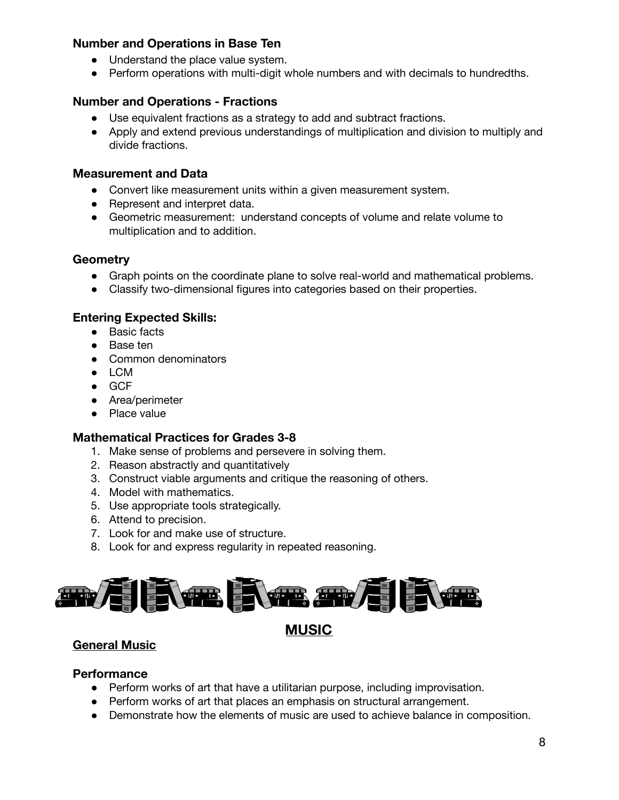### **Number and Operations in Base Ten**

- Understand the place value system.
- Perform operations with multi-digit whole numbers and with decimals to hundredths.

#### **Number and Operations - Fractions**

- Use equivalent fractions as a strategy to add and subtract fractions.
- Apply and extend previous understandings of multiplication and division to multiply and divide fractions.

#### **Measurement and Data**

- Convert like measurement units within a given measurement system.
- Represent and interpret data.
- Geometric measurement: understand concepts of volume and relate volume to multiplication and to addition.

#### **Geometry**

- Graph points on the coordinate plane to solve real-world and mathematical problems.
- Classify two-dimensional figures into categories based on their properties.

#### **Entering Expected Skills:**

- Basic facts
- Base ten
- Common denominators
- LCM
- GCF
- Area/perimeter
- Place value

#### **Mathematical Practices for Grades 3-8**

- 1. Make sense of problems and persevere in solving them.
- 2. Reason abstractly and quantitatively
- 3. Construct viable arguments and critique the reasoning of others.
- 4. Model with mathematics.
- 5. Use appropriate tools strategically.
- 6. Attend to precision.
- 7. Look for and make use of structure.
- 8. Look for and express regularity in repeated reasoning.



## **MUSIC**

# **General Music**

#### **Performance**

- Perform works of art that have a utilitarian purpose, including improvisation.
- Perform works of art that places an emphasis on structural arrangement.
- Demonstrate how the elements of music are used to achieve balance in composition.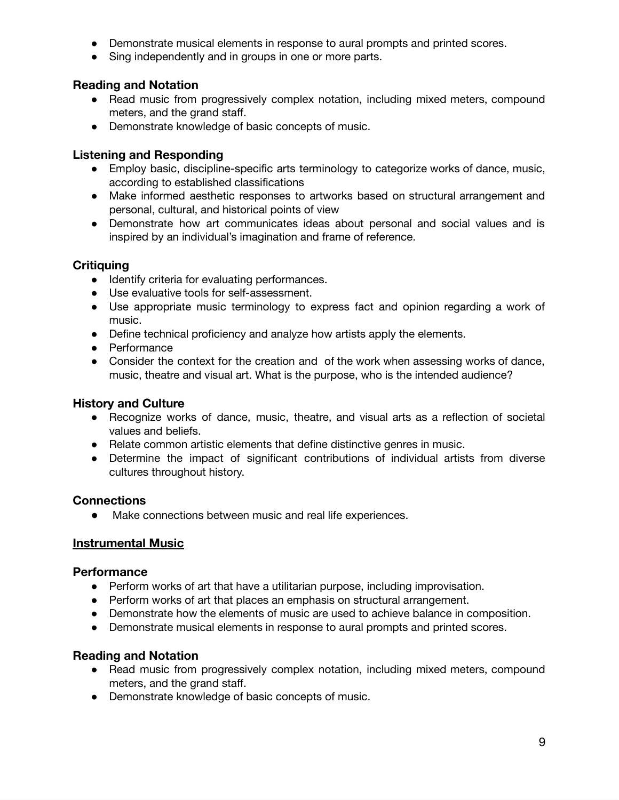- Demonstrate musical elements in response to aural prompts and printed scores.
- Sing independently and in groups in one or more parts.

#### **Reading and Notation**

- Read music from progressively complex notation, including mixed meters, compound meters, and the grand staff.
- Demonstrate knowledge of basic concepts of music.

#### **Listening and Responding**

- Employ basic, discipline-specific arts terminology to categorize works of dance, music, according to established classifications
- Make informed aesthetic responses to artworks based on structural arrangement and personal, cultural, and historical points of view
- Demonstrate how art communicates ideas about personal and social values and is inspired by an individual's imagination and frame of reference.

### **Critiquing**

- Identify criteria for evaluating performances.
- Use evaluative tools for self-assessment.
- Use appropriate music terminology to express fact and opinion regarding a work of music.
- Define technical proficiency and analyze how artists apply the elements.
- Performance
- Consider the context for the creation and of the work when assessing works of dance, music, theatre and visual art. What is the purpose, who is the intended audience?

#### **History and Culture**

- Recognize works of dance, music, theatre, and visual arts as a reflection of societal values and beliefs.
- Relate common artistic elements that define distinctive genres in music.
- Determine the impact of significant contributions of individual artists from diverse cultures throughout history.

#### **Connections**

● Make connections between music and real life experiences.

#### **Instrumental Music**

#### **Performance**

- Perform works of art that have a utilitarian purpose, including improvisation.
- Perform works of art that places an emphasis on structural arrangement.
- Demonstrate how the elements of music are used to achieve balance in composition.
- Demonstrate musical elements in response to aural prompts and printed scores.

#### **Reading and Notation**

- Read music from progressively complex notation, including mixed meters, compound meters, and the grand staff.
- Demonstrate knowledge of basic concepts of music.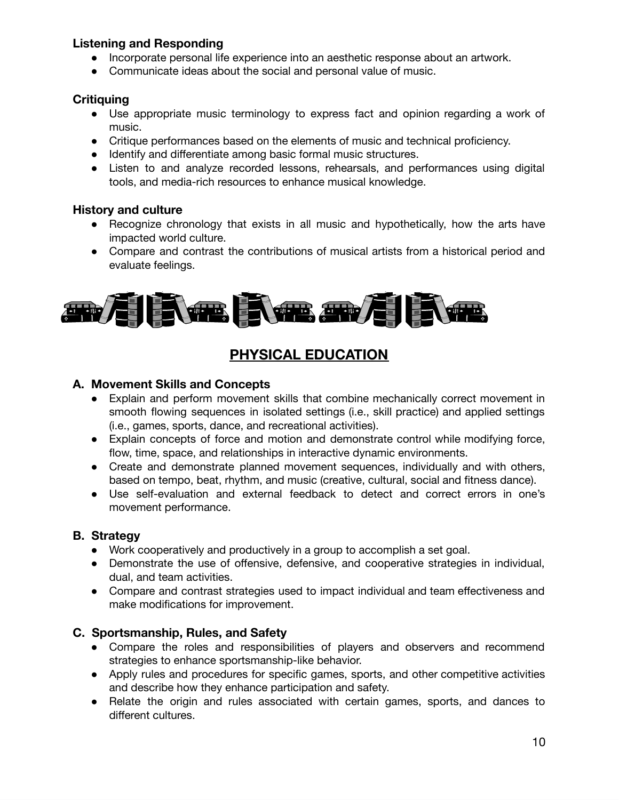### **Listening and Responding**

- Incorporate personal life experience into an aesthetic response about an artwork.
- Communicate ideas about the social and personal value of music.

#### **Critiquing**

- Use appropriate music terminology to express fact and opinion regarding a work of music.
- Critique performances based on the elements of music and technical proficiency.
- Identify and differentiate among basic formal music structures.
- Listen to and analyze recorded lessons, rehearsals, and performances using digital tools, and media-rich resources to enhance musical knowledge.

#### **History and culture**

- Recognize chronology that exists in all music and hypothetically, how the arts have impacted world culture.
- Compare and contrast the contributions of musical artists from a historical period and evaluate feelings.



# **PHYSICAL EDUCATION**

#### **A. Movement Skills and Concepts**

- Explain and perform movement skills that combine mechanically correct movement in smooth flowing sequences in isolated settings (i.e., skill practice) and applied settings (i.e., games, sports, dance, and recreational activities).
- Explain concepts of force and motion and demonstrate control while modifying force, flow, time, space, and relationships in interactive dynamic environments.
- Create and demonstrate planned movement sequences, individually and with others, based on tempo, beat, rhythm, and music (creative, cultural, social and fitness dance).
- Use self-evaluation and external feedback to detect and correct errors in one's movement performance.

#### **B. Strategy**

- Work cooperatively and productively in a group to accomplish a set goal.
- Demonstrate the use of offensive, defensive, and cooperative strategies in individual, dual, and team activities.
- Compare and contrast strategies used to impact individual and team effectiveness and make modifications for improvement.

#### **C. Sportsmanship, Rules, and Safety**

- Compare the roles and responsibilities of players and observers and recommend strategies to enhance sportsmanship-like behavior.
- Apply rules and procedures for specific games, sports, and other competitive activities and describe how they enhance participation and safety.
- Relate the origin and rules associated with certain games, sports, and dances to different cultures.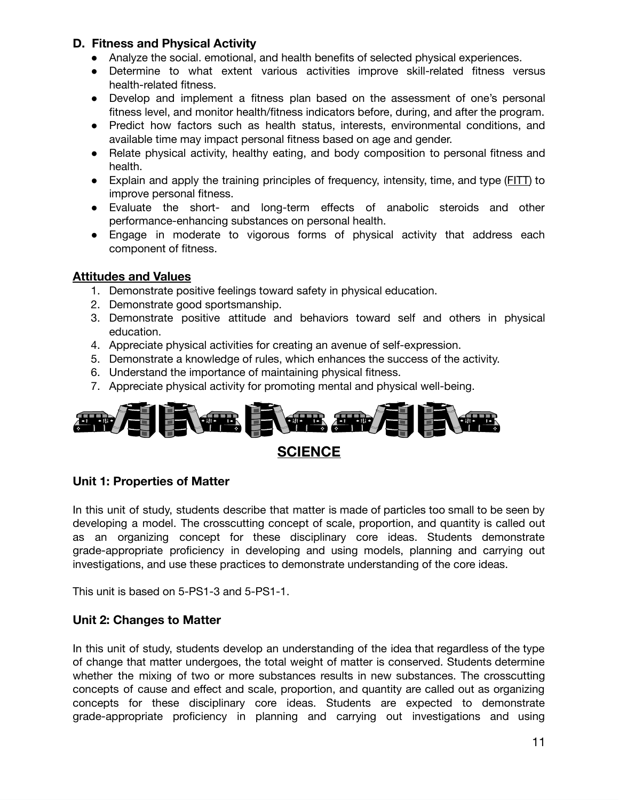#### **D. Fitness and Physical Activity**

- Analyze the social. emotional, and health benefits of selected physical experiences.
- Determine to what extent various activities improve skill-related fitness versus health-related fitness.
- Develop and implement a fitness plan based on the assessment of one's personal fitness level, and monitor health/fitness indicators before, during, and after the program.
- Predict how factors such as health status, interests, environmental conditions, and available time may impact personal fitness based on age and gender.
- Relate physical activity, healthy eating, and body composition to personal fitness and health.
- Explain and apply the training principles of frequency, intensity, time, and type (FITT) to improve personal fitness.
- Evaluate the short- and long-term effects of anabolic steroids and other performance-enhancing substances on personal health.
- Engage in moderate to vigorous forms of physical activity that address each component of fitness.

## **Attitudes and Values**

- 1. Demonstrate positive feelings toward safety in physical education.
- 2. Demonstrate good sportsmanship.
- 3. Demonstrate positive attitude and behaviors toward self and others in physical education.
- 4. Appreciate physical activities for creating an avenue of self-expression.
- 5. Demonstrate a knowledge of rules, which enhances the success of the activity.
- 6. Understand the importance of maintaining physical fitness.
- 7. Appreciate physical activity for promoting mental and physical well-being.



## **Unit 1: Properties of Matter**

In this unit of study, students describe that matter is made of particles too small to be seen by developing a model. The crosscutting concept of scale, proportion, and quantity is called out as an organizing concept for these disciplinary core ideas. Students demonstrate grade-appropriate proficiency in developing and using models, planning and carrying out investigations, and use these practices to demonstrate understanding of the core ideas.

This unit is based on 5-PS1-3 and 5-PS1-1.

## **Unit 2: Changes to Matter**

In this unit of study, students develop an understanding of the idea that regardless of the type of change that matter undergoes, the total weight of matter is conserved. Students determine whether the mixing of two or more substances results in new substances. The crosscutting concepts of cause and effect and scale, proportion, and quantity are called out as organizing concepts for these disciplinary core ideas. Students are expected to demonstrate grade-appropriate proficiency in planning and carrying out investigations and using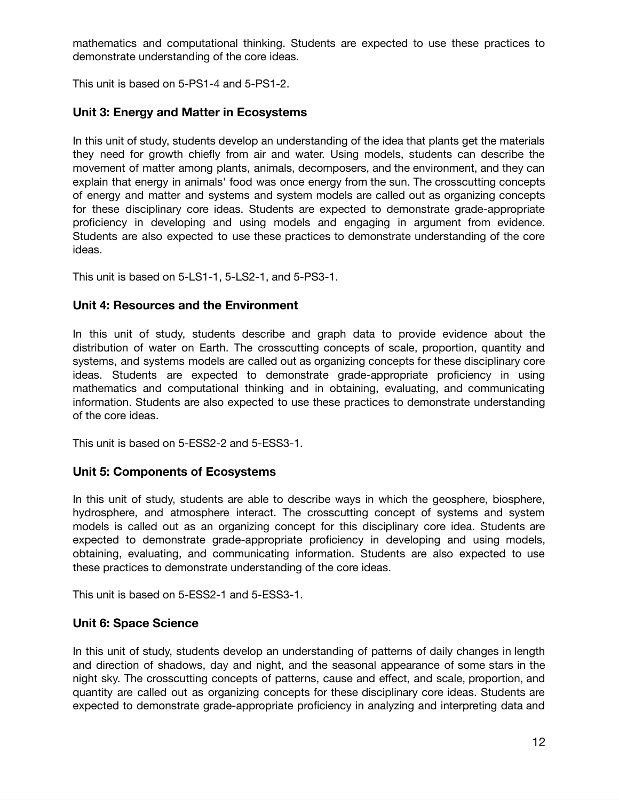mathematics and computational thinking. Students are expected to use these practices to demonstrate understanding of the core ideas.

This unit is based on 5-PS1-4 and 5-PS1-2.

### **Unit 3: Energy and Matter in Ecosystems**

In this unit of study, students develop an understanding of the idea that plants get the materials they need for growth chiefly from air and water. Using models, students can describe the movement of matter among plants, animals, decomposers, and the environment, and they can explain that energy in animals' food was once energy from the sun. The crosscutting concepts of energy and matter and systems and system models are called out as organizing concepts for these disciplinary core ideas. Students are expected to demonstrate grade-appropriate proficiency in developing and using models and engaging in argument from evidence. Students are also expected to use these practices to demonstrate understanding of the core ideas.

This unit is based on 5-LS1-1, 5-LS2-1, and 5-PS3-1.

#### **Unit 4: Resources and the Environment**

In this unit of study, students describe and graph data to provide evidence about the distribution of water on Earth. The crosscutting concepts of scale, proportion, quantity and systems, and systems models are called out as organizing concepts for these disciplinary core ideas. Students are expected to demonstrate grade-appropriate proficiency in using mathematics and computational thinking and in obtaining, evaluating, and communicating information. Students are also expected to use these practices to demonstrate understanding of the core ideas.

This unit is based on 5-ESS2-2 and 5-ESS3-1.

#### **Unit 5: Components of Ecosystems**

In this unit of study, students are able to describe ways in which the geosphere, biosphere, hydrosphere, and atmosphere interact. The crosscutting concept of systems and system models is called out as an organizing concept for this disciplinary core idea. Students are expected to demonstrate grade-appropriate proficiency in developing and using models, obtaining, evaluating, and communicating information. Students are also expected to use these practices to demonstrate understanding of the core ideas.

This unit is based on 5-ESS2-1 and 5-ESS3-1.

#### **Unit 6: Space Science**

In this unit of study, students develop an understanding of patterns of daily changes in length and direction of shadows, day and night, and the seasonal appearance of some stars in the night sky. The crosscutting concepts of patterns, cause and effect, and scale, proportion, and quantity are called out as organizing concepts for these disciplinary core ideas. Students are expected to demonstrate grade-appropriate proficiency in analyzing and interpreting data and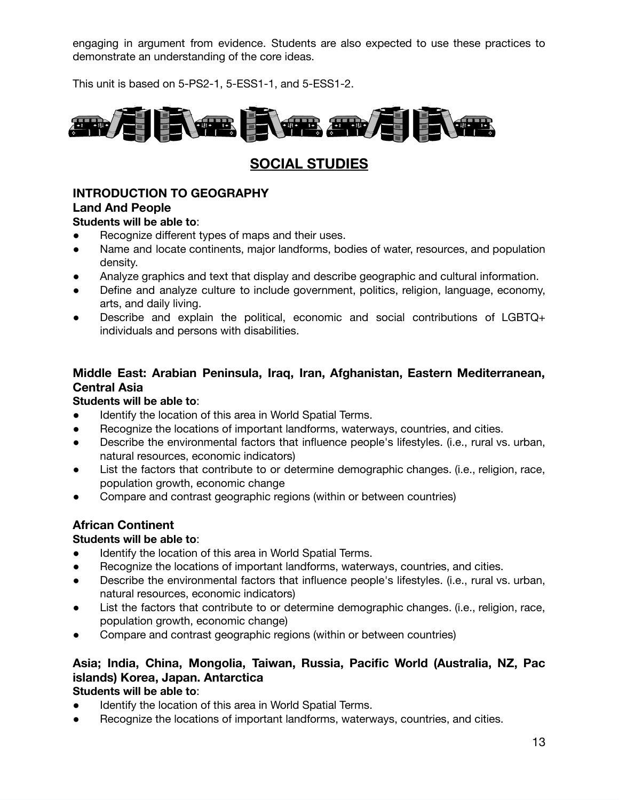engaging in argument from evidence. Students are also expected to use these practices to demonstrate an understanding of the core ideas.

This unit is based on 5-PS2-1, 5-ESS1-1, and 5-ESS1-2.



# **SOCIAL STUDIES**

# **INTRODUCTION TO GEOGRAPHY**

#### **Land And People**

#### **Students will be able to**:

- Recognize different types of maps and their uses.
- Name and locate continents, major landforms, bodies of water, resources, and population density.
- Analyze graphics and text that display and describe geographic and cultural information.
- Define and analyze culture to include government, politics, religion, language, economy, arts, and daily living.
- Describe and explain the political, economic and social contributions of LGBTQ+ individuals and persons with disabilities.

## **Middle East: Arabian Peninsula, Iraq, Iran, Afghanistan, Eastern Mediterranean, Central Asia**

#### **Students will be able to**:

- Identify the location of this area in World Spatial Terms.
- Recognize the locations of important landforms, waterways, countries, and cities.
- Describe the environmental factors that influence people's lifestyles. (i.e., rural vs. urban, natural resources, economic indicators)
- List the factors that contribute to or determine demographic changes. (i.e., religion, race, population growth, economic change
- Compare and contrast geographic regions (within or between countries)

## **African Continent**

#### **Students will be able to**:

- Identify the location of this area in World Spatial Terms.
- Recognize the locations of important landforms, waterways, countries, and cities.
- Describe the environmental factors that influence people's lifestyles. (i.e., rural vs. urban, natural resources, economic indicators)
- List the factors that contribute to or determine demographic changes. (i.e., religion, race, population growth, economic change)
- Compare and contrast geographic regions (within or between countries)

# **Asia; India, China, Mongolia, Taiwan, Russia, Pacific World (Australia, NZ, Pac islands) Korea, Japan. Antarctica**

#### **Students will be able to**:

- Identify the location of this area in World Spatial Terms.
- Recognize the locations of important landforms, waterways, countries, and cities.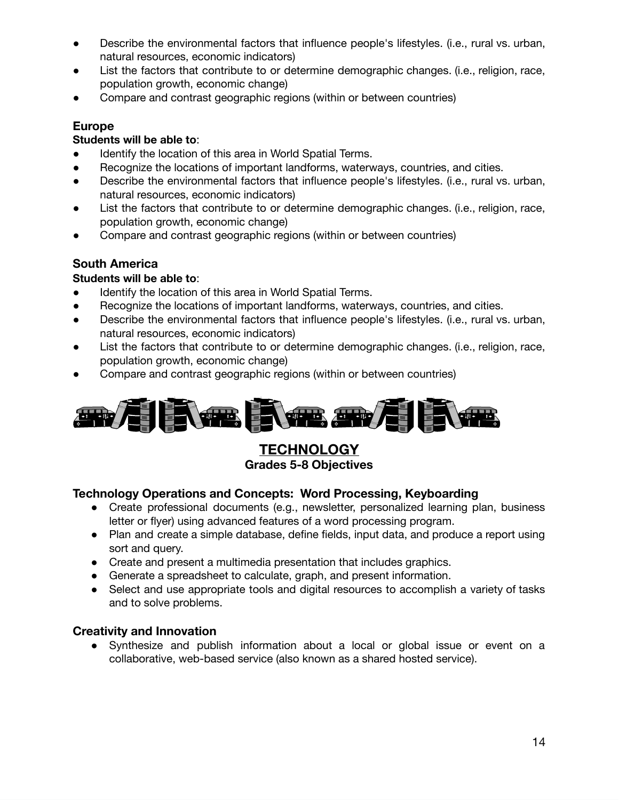- Describe the environmental factors that influence people's lifestyles. (i.e., rural vs. urban, natural resources, economic indicators)
- List the factors that contribute to or determine demographic changes. (i.e., religion, race, population growth, economic change)
- Compare and contrast geographic regions (within or between countries)

## **Europe**

## **Students will be able to**:

- Identify the location of this area in World Spatial Terms.
- Recognize the locations of important landforms, waterways, countries, and cities.
- Describe the environmental factors that influence people's lifestyles. (i.e., rural vs. urban, natural resources, economic indicators)
- List the factors that contribute to or determine demographic changes. (i.e., religion, race, population growth, economic change)
- Compare and contrast geographic regions (within or between countries)

# **South America**

## **Students will be able to**:

- Identify the location of this area in World Spatial Terms.
- Recognize the locations of important landforms, waterways, countries, and cities.
- Describe the environmental factors that influence people's lifestyles. (i.e., rural vs. urban, natural resources, economic indicators)
- List the factors that contribute to or determine demographic changes. (i.e., religion, race, population growth, economic change)
- Compare and contrast geographic regions (within or between countries)



**TECHNOLOGY Grades 5-8 Objectives**

## **Technology Operations and Concepts: Word Processing, Keyboarding**

- Create professional documents (e.g., newsletter, personalized learning plan, business letter or flyer) using advanced features of a word processing program.
- Plan and create a simple database, define fields, input data, and produce a report using sort and query.
- Create and present a multimedia presentation that includes graphics.
- Generate a spreadsheet to calculate, graph, and present information.
- Select and use appropriate tools and digital resources to accomplish a variety of tasks and to solve problems.

## **Creativity and Innovation**

● Synthesize and publish information about a local or global issue or event on a collaborative, web-based service (also known as a shared hosted service).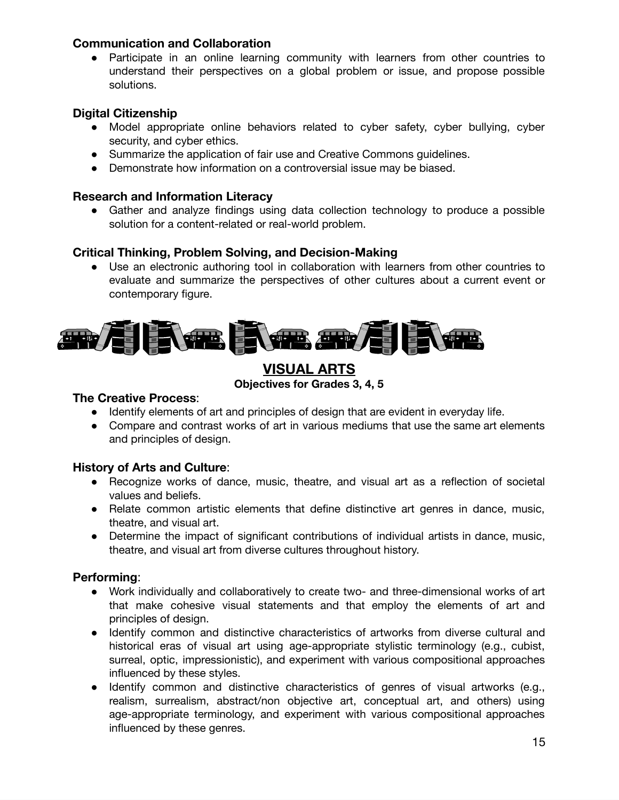#### **Communication and Collaboration**

● Participate in an online learning community with learners from other countries to understand their perspectives on a global problem or issue, and propose possible solutions.

#### **Digital Citizenship**

- Model appropriate online behaviors related to cyber safety, cyber bullying, cyber security, and cyber ethics.
- Summarize the application of fair use and Creative Commons guidelines.
- Demonstrate how information on a controversial issue may be biased.

#### **Research and Information Literacy**

● Gather and analyze findings using data collection technology to produce a possible solution for a content-related or real-world problem.

#### **Critical Thinking, Problem Solving, and Decision-Making**

● Use an electronic authoring tool in collaboration with learners from other countries to evaluate and summarize the perspectives of other cultures about a current event or contemporary figure.



# **VISUAL ARTS**

**Objectives for Grades 3, 4, 5**

#### **The Creative Process**:

- Identify elements of art and principles of design that are evident in everyday life.
- Compare and contrast works of art in various mediums that use the same art elements and principles of design.

#### **History of Arts and Culture**:

- Recognize works of dance, music, theatre, and visual art as a reflection of societal values and beliefs.
- Relate common artistic elements that define distinctive art genres in dance, music, theatre, and visual art.
- Determine the impact of significant contributions of individual artists in dance, music, theatre, and visual art from diverse cultures throughout history.

#### **Performing**:

- Work individually and collaboratively to create two- and three-dimensional works of art that make cohesive visual statements and that employ the elements of art and principles of design.
- Identify common and distinctive characteristics of artworks from diverse cultural and historical eras of visual art using age-appropriate stylistic terminology (e.g., cubist, surreal, optic, impressionistic), and experiment with various compositional approaches influenced by these styles.
- Identify common and distinctive characteristics of genres of visual artworks (e.g., realism, surrealism, abstract/non objective art, conceptual art, and others) using age-appropriate terminology, and experiment with various compositional approaches influenced by these genres.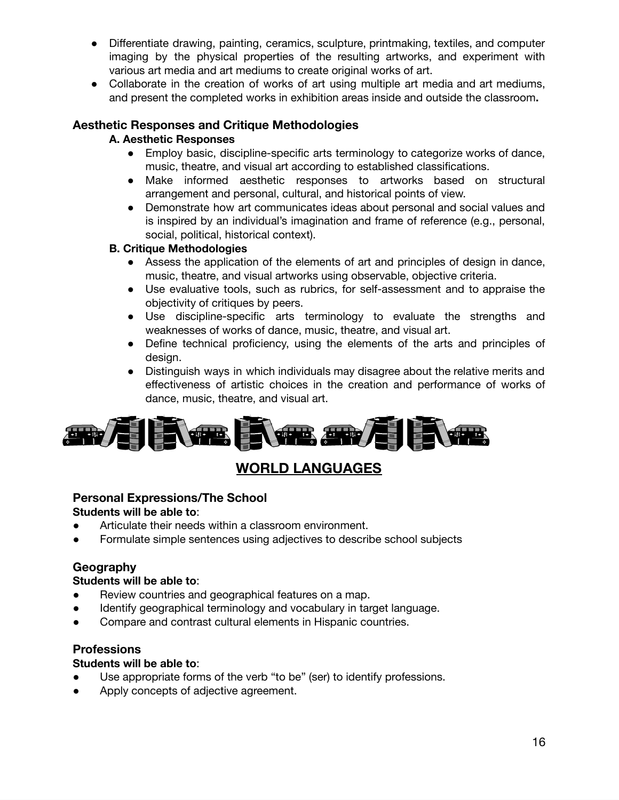- Differentiate drawing, painting, ceramics, sculpture, printmaking, textiles, and computer imaging by the physical properties of the resulting artworks, and experiment with various art media and art mediums to create original works of art.
- Collaborate in the creation of works of art using multiple art media and art mediums, and present the completed works in exhibition areas inside and outside the classroom**.**

#### **Aesthetic Responses and Critique Methodologies**

#### **A. Aesthetic Responses**

- Employ basic, discipline-specific arts terminology to categorize works of dance, music, theatre, and visual art according to established classifications.
- Make informed aesthetic responses to artworks based on structural arrangement and personal, cultural, and historical points of view.
- Demonstrate how art communicates ideas about personal and social values and is inspired by an individual's imagination and frame of reference (e.g., personal, social, political, historical context).

#### **B. Critique Methodologies**

- Assess the application of the elements of art and principles of design in dance, music, theatre, and visual artworks using observable, objective criteria.
- Use evaluative tools, such as rubrics, for self-assessment and to appraise the objectivity of critiques by peers.
- Use discipline-specific arts terminology to evaluate the strengths and weaknesses of works of dance, music, theatre, and visual art.
- Define technical proficiency, using the elements of the arts and principles of design.
- Distinguish ways in which individuals may disagree about the relative merits and effectiveness of artistic choices in the creation and performance of works of dance, music, theatre, and visual art.



# **WORLD LANGUAGES**

# **Personal Expressions/The School**

#### **Students will be able to**:

- Articulate their needs within a classroom environment.
- Formulate simple sentences using adjectives to describe school subjects

## **Geography**

## **Students will be able to**:

- Review countries and geographical features on a map.
- Identify geographical terminology and vocabulary in target language.
- Compare and contrast cultural elements in Hispanic countries.

#### **Professions**

#### **Students will be able to**:

- Use appropriate forms of the verb "to be" (ser) to identify professions.
- Apply concepts of adjective agreement.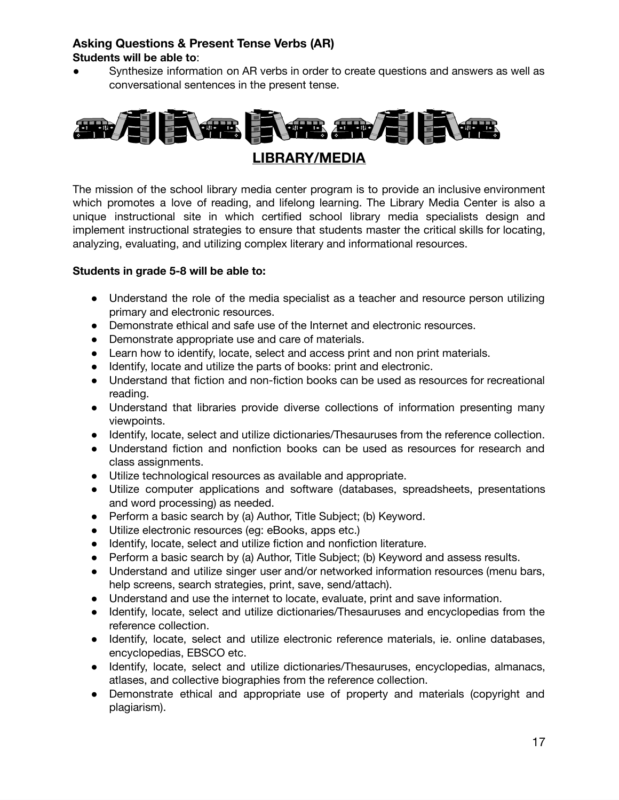#### **Asking Questions & Present Tense Verbs (AR) Students will be able to**:

● Synthesize information on AR verbs in order to create questions and answers as well as conversational sentences in the present tense.



The mission of the school library media center program is to provide an inclusive environment which promotes a love of reading, and lifelong learning. The Library Media Center is also a unique instructional site in which certified school library media specialists design and implement instructional strategies to ensure that students master the critical skills for locating, analyzing, evaluating, and utilizing complex literary and informational resources.

#### **Students in grade 5-8 will be able to:**

- Understand the role of the media specialist as a teacher and resource person utilizing primary and electronic resources.
- Demonstrate ethical and safe use of the Internet and electronic resources.
- Demonstrate appropriate use and care of materials.
- Learn how to identify, locate, select and access print and non print materials.
- Identify, locate and utilize the parts of books: print and electronic.
- Understand that fiction and non-fiction books can be used as resources for recreational reading.
- Understand that libraries provide diverse collections of information presenting many viewpoints.
- Identify, locate, select and utilize dictionaries/Thesauruses from the reference collection.
- Understand fiction and nonfiction books can be used as resources for research and class assignments.
- Utilize technological resources as available and appropriate.
- Utilize computer applications and software (databases, spreadsheets, presentations and word processing) as needed.
- Perform a basic search by (a) Author, Title Subject; (b) Keyword.
- Utilize electronic resources (eg: eBooks, apps etc.)
- Identify, locate, select and utilize fiction and nonfiction literature.
- Perform a basic search by (a) Author, Title Subject; (b) Keyword and assess results.
- Understand and utilize singer user and/or networked information resources (menu bars, help screens, search strategies, print, save, send/attach).
- Understand and use the internet to locate, evaluate, print and save information.
- Identify, locate, select and utilize dictionaries/Thesauruses and encyclopedias from the reference collection.
- Identify, locate, select and utilize electronic reference materials, ie. online databases, encyclopedias, EBSCO etc.
- Identify, locate, select and utilize dictionaries/Thesauruses, encyclopedias, almanacs, atlases, and collective biographies from the reference collection.
- Demonstrate ethical and appropriate use of property and materials (copyright and plagiarism).